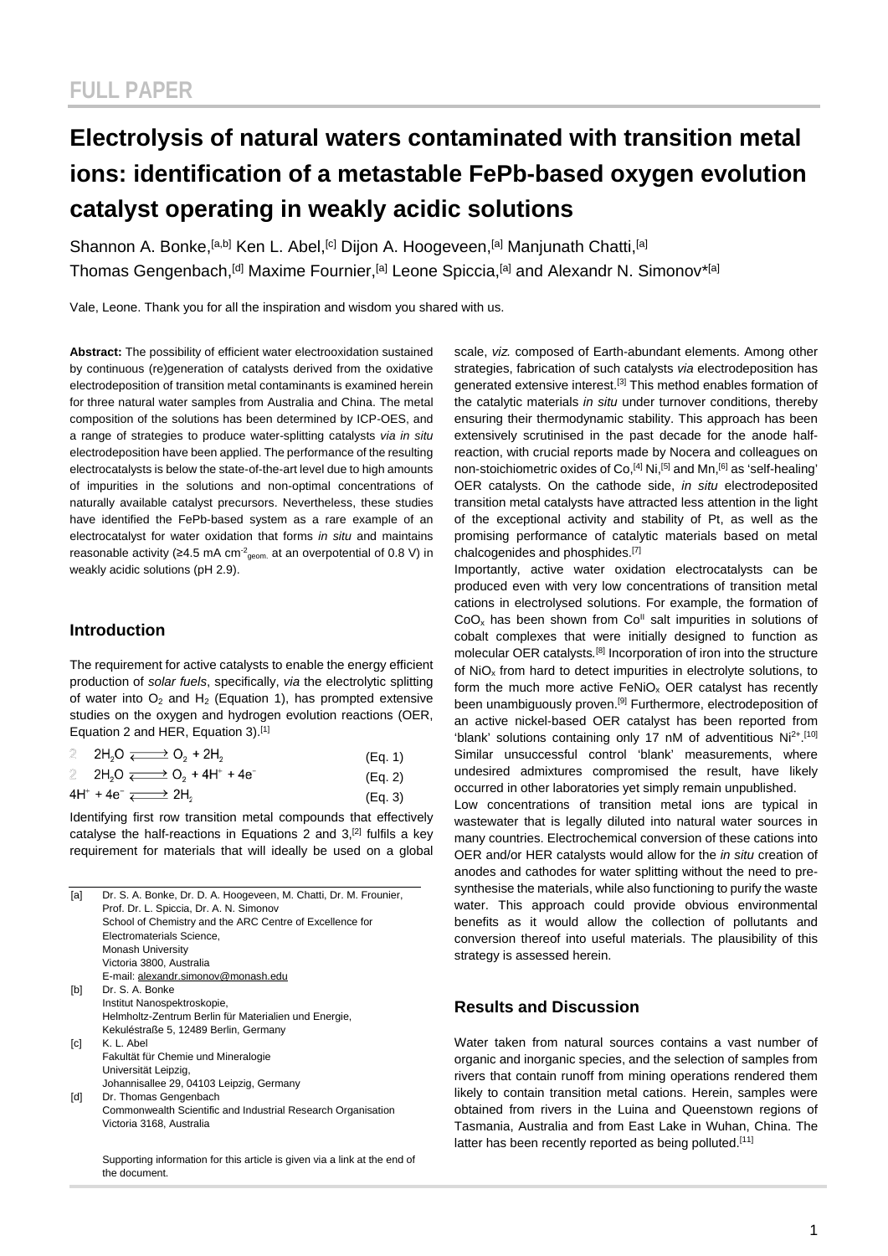# **Electrolysis of natural waters contaminated with transition metal ions: identification of a metastable FePb-based oxygen evolution catalyst operating in weakly acidic solutions**

Shannon A. Bonke, <sup>[a,b]</sup> Ken L. Abel, <sup>[c]</sup> Dijon A. Hoogeveen, <sup>[a]</sup> Manjunath Chatti, <sup>[a]</sup> Thomas Gengenbach,<sup>[d]</sup> Maxime Fournier,<sup>[a]</sup> Leone Spiccia,<sup>[a]</sup> and Alexandr N. Simonov<sup>\*[a]</sup>

Vale, Leone. Thank you for all the inspiration and wisdom you shared with us.

**Abstract:** The possibility of efficient water electrooxidation sustained by continuous (re)generation of catalysts derived from the oxidative electrodeposition of transition metal contaminants is examined herein for three natural water samples from Australia and China. The metal composition of the solutions has been determined by ICP-OES, and a range of strategies to produce water-splitting catalysts *via in situ* electrodeposition have been applied. The performance of the resulting electrocatalysts is below the state-of-the-art level due to high amounts of impurities in the solutions and non-optimal concentrations of naturally available catalyst precursors. Nevertheless, these studies have identified the FePb-based system as a rare example of an electrocatalyst for water oxidation that forms *in situ* and maintains reasonable activity ( $\geq 4.5$  mA cm<sup>-2</sup><sub>geom.</sub> at an overpotential of 0.8 V) in weakly acidic solutions (pH 2.9).

#### **Introduction**

The requirement for active catalysts to enable the energy efficient production of *solar fuels*, specifically, *via* the electrolytic splitting of water into  $O_2$  and  $H_2$  (Equation 1), has prompted extensive studies on the oxygen and hydrogen evolution reactions (OER, Equation 2 and HER, Equation 3).[1]

| $\mathbb{Z}$ |                                                                                             | (Eq. 1) |
|--------------|---------------------------------------------------------------------------------------------|---------|
|              | 2 2H <sub>2</sub> O $\overrightarrow{=}$ O <sub>2</sub> + 4H <sup>+</sup> + 4e <sup>-</sup> | (Eq. 2) |
|              | $4H^+ + 4e^- \longrightarrow 2H_2$                                                          | (Eq. 3) |

Identifying first row transition metal compounds that effectively catalyse the half-reactions in Equations 2 and 3,<sup>[2]</sup> fulfils a key requirement for materials that will ideally be used on a global

| [a]               | Dr. S. A. Bonke, Dr. D. A. Hoogeveen, M. Chatti, Dr. M. Frounier,<br>Prof. Dr. L. Spiccia, Dr. A. N. Simonov |  |  |  |  |
|-------------------|--------------------------------------------------------------------------------------------------------------|--|--|--|--|
|                   | School of Chemistry and the ARC Centre of Excellence for                                                     |  |  |  |  |
|                   | Electromaterials Science.                                                                                    |  |  |  |  |
|                   | <b>Monash University</b>                                                                                     |  |  |  |  |
|                   | Victoria 3800, Australia                                                                                     |  |  |  |  |
|                   | E-mail: alexandr.simonov@monash.edu                                                                          |  |  |  |  |
| [b]               | Dr. S. A. Bonke                                                                                              |  |  |  |  |
|                   | Institut Nanospektroskopie,                                                                                  |  |  |  |  |
|                   | Helmholtz-Zentrum Berlin für Materialien und Energie,                                                        |  |  |  |  |
|                   | Kekuléstraße 5, 12489 Berlin, Germany                                                                        |  |  |  |  |
| $\lceil c \rceil$ | K. L. Abel                                                                                                   |  |  |  |  |
|                   | Fakultät für Chemie und Mineralogie                                                                          |  |  |  |  |
|                   | Universität Leipzig,                                                                                         |  |  |  |  |
|                   | Johannisallee 29, 04103 Leipzig, Germany                                                                     |  |  |  |  |
| [d]               | Dr. Thomas Gengenbach                                                                                        |  |  |  |  |
|                   | Commonwealth Scientific and Industrial Research Organisation                                                 |  |  |  |  |
|                   | Victoria 3168, Australia                                                                                     |  |  |  |  |
|                   |                                                                                                              |  |  |  |  |
|                   |                                                                                                              |  |  |  |  |

Supporting information for this article is given via a link at the end of the document.

scale, *viz.* composed of Earth-abundant elements. Among other strategies, fabrication of such catalysts *via* electrodeposition has generated extensive interest.<sup>[3]</sup> This method enables formation of the catalytic materials *in situ* under turnover conditions, thereby ensuring their thermodynamic stability. This approach has been extensively scrutinised in the past decade for the anode halfreaction, with crucial reports made by Nocera and colleagues on non-stoichiometric oxides of Co.<sup>[4]</sup> Ni.<sup>[5]</sup> and Mn.<sup>[6]</sup> as 'self-healing' OER catalysts. On the cathode side, *in situ* electrodeposited transition metal catalysts have attracted less attention in the light of the exceptional activity and stability of Pt, as well as the promising performance of catalytic materials based on metal chalcogenides and phosphides.[7]

Importantly, active water oxidation electrocatalysts can be produced even with very low concentrations of transition metal cations in electrolysed solutions. For example, the formation of  $CoO<sub>x</sub>$  has been shown from  $Co<sup>H</sup>$  salt impurities in solutions of cobalt complexes that were initially designed to function as molecular OER catalysts*.* [8] Incorporation of iron into the structure of NiOx from hard to detect impurities in electrolyte solutions, to form the much more active FeNiO<sub>x</sub> OER catalyst has recently been unambiguously proven.<sup>[9]</sup> Furthermore, electrodeposition of an active nickel-based OER catalyst has been reported from 'blank' solutions containing only 17 nM of adventitious  $Ni<sup>2+</sup>.<sup>[10]</sup>$ Similar unsuccessful control 'blank' measurements, where undesired admixtures compromised the result, have likely occurred in other laboratories yet simply remain unpublished.

Low concentrations of transition metal ions are typical in wastewater that is legally diluted into natural water sources in many countries. Electrochemical conversion of these cations into OER and/or HER catalysts would allow for the *in situ* creation of anodes and cathodes for water splitting without the need to presynthesise the materials, while also functioning to purify the waste water. This approach could provide obvious environmental benefits as it would allow the collection of pollutants and conversion thereof into useful materials. The plausibility of this strategy is assessed herein.

#### **Results and Discussion**

Water taken from natural sources contains a vast number of organic and inorganic species, and the selection of samples from rivers that contain runoff from mining operations rendered them likely to contain transition metal cations. Herein, samples were obtained from rivers in the Luina and Queenstown regions of Tasmania, Australia and from East Lake in Wuhan, China. The latter has been recently reported as being polluted.<sup>[11]</sup>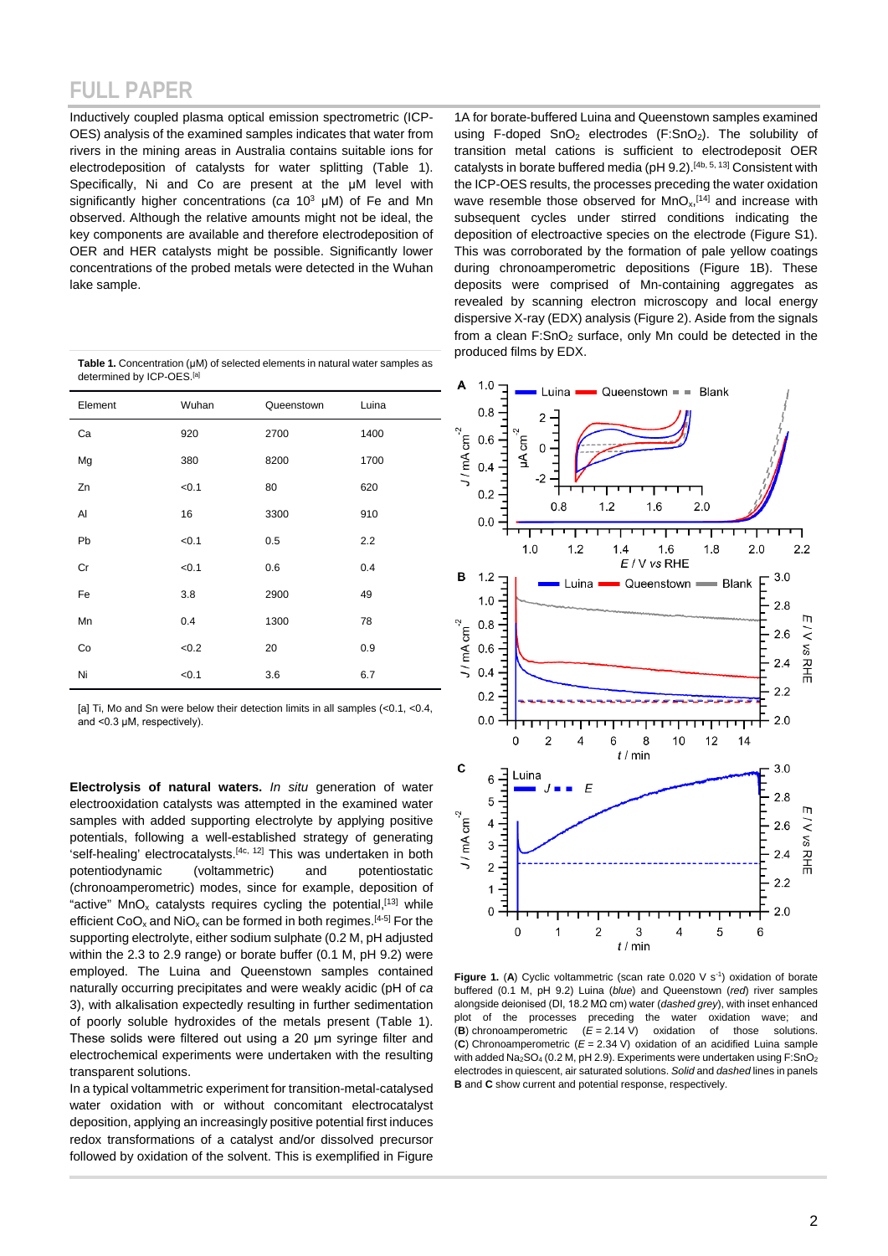Inductively coupled plasma optical emission spectrometric (ICP-OES) analysis of the examined samples indicates that water from rivers in the mining areas in Australia contains suitable ions for electrodeposition of catalysts for water splitting (Table 1). Specifically, Ni and Co are present at the μM level with significantly higher concentrations (*ca* 103 μM) of Fe and Mn observed. Although the relative amounts might not be ideal, the key components are available and therefore electrodeposition of OER and HER catalysts might be possible. Significantly lower concentrations of the probed metals were detected in the Wuhan lake sample.

| Table 1. Concentration ( $\mu$ M) of selected elements in natural water samples as |
|------------------------------------------------------------------------------------|
| determined by ICP-OES. <sup>[a]</sup>                                              |

| Element | Wuhan | Queenstown | Luina |                                                                       | 0.8 |
|---------|-------|------------|-------|-----------------------------------------------------------------------|-----|
| Ca      | 920   | 2700       | 1400  |                                                                       | 0.6 |
| Mg      | 380   | 8200       | 1700  | $J/mA cm-2$                                                           | 0.4 |
| Zn      | < 0.1 | 80         | 620   |                                                                       | 0.2 |
| Al      | 16    | 3300       | 910   |                                                                       | 0.0 |
| Pb      | < 0.1 | 0.5        | 2.2   |                                                                       |     |
| Cr      | < 0.1 | 0.6        | 0.4   | в                                                                     | 1.2 |
| Fe      | 3.8   | 2900       | 49    |                                                                       | 1.0 |
| Mn      | 0.4   | 1300       | 78    |                                                                       |     |
| Co      | < 0.2 | 20         | 0.9   | $^{10}$ ( $\frac{1}{2}$ 0.8<br>$\frac{1}{2}$ 0.6<br>$\frac{1}{2}$ 0.4 |     |
| Ni      | < 0.1 | 3.6        | 6.7   |                                                                       |     |

[a] Ti, Mo and Sn were below their detection limits in all samples (<0.1, <0.4, and <0.3 μM, respectively).

**Electrolysis of natural waters.** *In situ* generation of water electrooxidation catalysts was attempted in the examined water samples with added supporting electrolyte by applying positive potentials, following a well-established strategy of generating 'self-healing' electrocatalysts.[4c, 12] This was undertaken in both potentiodynamic (voltammetric) and potentiostatic (chronoamperometric) modes, since for example, deposition of "active"  $MnO<sub>x</sub>$  catalysts requires cycling the potential,<sup>[13]</sup> while efficient  $CoO_x$  and  $NiO_x$  can be formed in both regimes.<sup>[4-5]</sup> For the supporting electrolyte, either sodium sulphate (0.2 M, pH adjusted within the 2.3 to 2.9 range) or borate buffer (0.1 M, pH 9.2) were employed. The Luina and Queenstown samples contained naturally occurring precipitates and were weakly acidic (pH of *ca* 3), with alkalisation expectedly resulting in further sedimentation of poorly soluble hydroxides of the metals present (Table 1). These solids were filtered out using a 20 μm syringe filter and electrochemical experiments were undertaken with the resulting transparent solutions.

In a typical voltammetric experiment for transition-metal-catalysed water oxidation with or without concomitant electrocatalyst deposition, applying an increasingly positive potential first induces redox transformations of a catalyst and/or dissolved precursor followed by oxidation of the solvent. This is exemplified in Figure

1A for borate-buffered Luina and Queenstown samples examined using F-doped  $SnO<sub>2</sub>$  electrodes (F:SnO<sub>2</sub>). The solubility of transition metal cations is sufficient to electrodeposit OER catalysts in borate buffered media (pH 9.2).[4b, 5, 13] Consistent with the ICP-OES results, the processes preceding the water oxidation wave resemble those observed for  $MnO<sub>x</sub>$ <sup>[14]</sup> and increase with subsequent cycles under stirred conditions indicating the deposition of electroactive species on the electrode (Figure S1). This was corroborated by the formation of pale yellow coatings during chronoamperometric depositions (Figure 1B). These deposits were comprised of Mn-containing aggregates as revealed by scanning electron microscopy and local energy dispersive X-ray (EDX) analysis (Figure 2). Aside from the signals from a clean  $F:SnO<sub>2</sub>$  surface, only Mn could be detected in the produced films by EDX.



**Figure 1.** (A) Cyclic voltammetric (scan rate  $0.020 \, \text{V s}^{-1}$ ) oxidation of borate buffered (0.1 M, pH 9.2) Luina (*blue*) and Queenstown (*red*) river samples alongside deionised (DI, 18.2 MΩ cm) water (*dashed grey*), with inset enhanced plot of the processes preceding the water oxidation wave; and (**B**) chronoamperometric (*E* = 2.14 V) oxidation of those solutions. (**C**) Chronoamperometric (*E* = 2.34 V) oxidation of an acidified Luina sample with added Na<sub>2</sub>SO<sub>4</sub> (0.2 M, pH 2.9). Experiments were undertaken using F:SnO<sub>2</sub> electrodes in quiescent, air saturated solutions. *Solid* and *dashed* lines in panels **B** and **C** show current and potential response, respectively.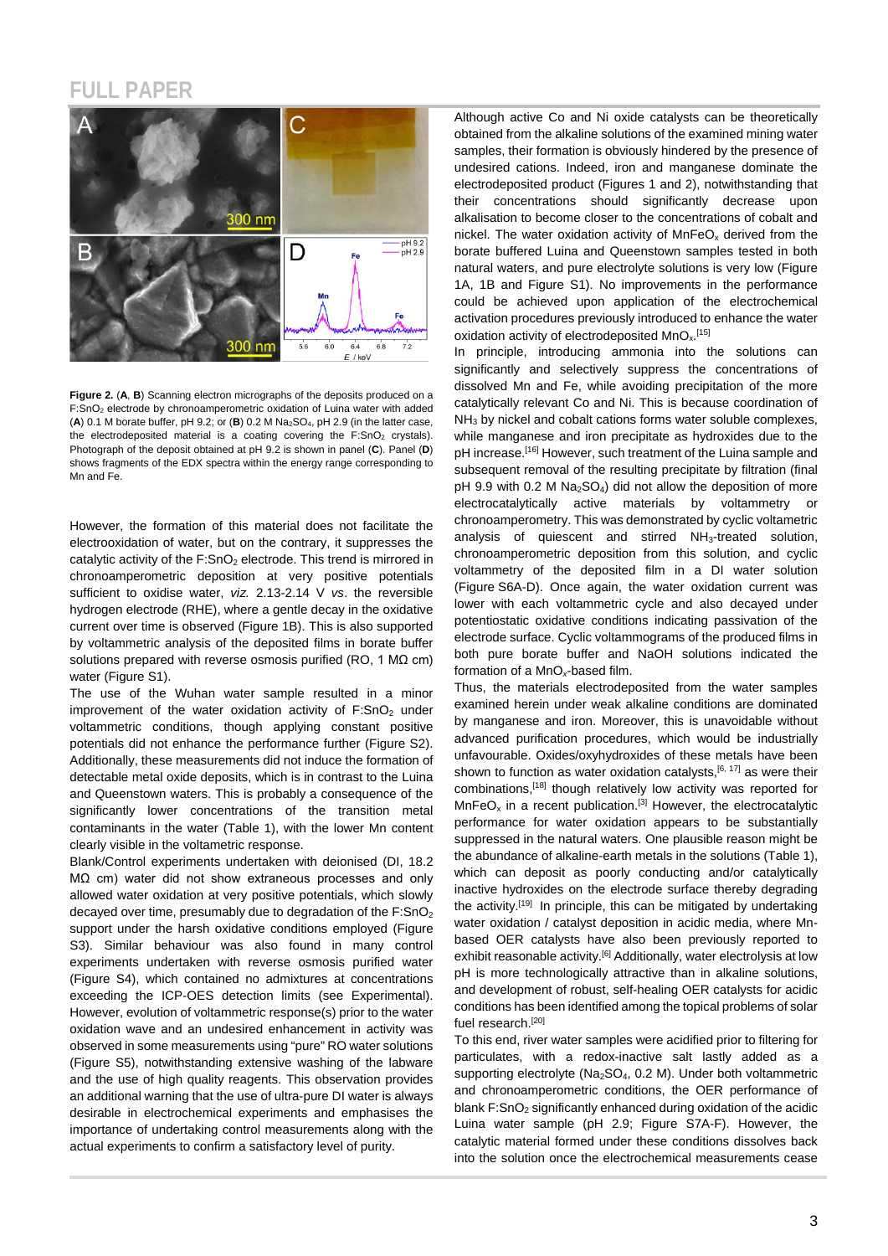

**Figure 2.** (**A**, **B**) Scanning electron micrographs of the deposits produced on a F:SnO2 electrode by chronoamperometric oxidation of Luina water with added (**A**) 0.1 M borate buffer, pH 9.2; or (**B**) 0.2 M Na2SO4, pH 2.9 (in the latter case, the electrodeposited material is a coating covering the  $F:SnO<sub>2</sub>$  crystals). Photograph of the deposit obtained at pH 9.2 is shown in panel (**C**). Panel (**D**) shows fragments of the EDX spectra within the energy range corresponding to Mn and Fe.

However, the formation of this material does not facilitate the electrooxidation of water, but on the contrary, it suppresses the catalytic activity of the  $F:SnO<sub>2</sub>$  electrode. This trend is mirrored in chronoamperometric deposition at very positive potentials sufficient to oxidise water, *viz.* 2.13-2.14 V *vs*. the reversible hydrogen electrode (RHE), where a gentle decay in the oxidative current over time is observed (Figure 1B). This is also supported by voltammetric analysis of the deposited films in borate buffer solutions prepared with reverse osmosis purified (RO, 1 MΩ cm) water (Figure S1).

The use of the Wuhan water sample resulted in a minor improvement of the water oxidation activity of  $F:SnO<sub>2</sub>$  under voltammetric conditions, though applying constant positive potentials did not enhance the performance further (Figure S2). Additionally, these measurements did not induce the formation of detectable metal oxide deposits, which is in contrast to the Luina and Queenstown waters. This is probably a consequence of the significantly lower concentrations of the transition metal contaminants in the water (Table 1), with the lower Mn content clearly visible in the voltametric response.

Blank/Control experiments undertaken with deionised (DI, 18.2 MΩ cm) water did not show extraneous processes and only allowed water oxidation at very positive potentials, which slowly decayed over time, presumably due to degradation of the F:SnO<sub>2</sub> support under the harsh oxidative conditions employed (Figure S3). Similar behaviour was also found in many control experiments undertaken with reverse osmosis purified water (Figure S4), which contained no admixtures at concentrations exceeding the ICP-OES detection limits (see Experimental). However, evolution of voltammetric response(s) prior to the water oxidation wave and an undesired enhancement in activity was observed in some measurements using "pure" RO water solutions (Figure S5), notwithstanding extensive washing of the labware and the use of high quality reagents. This observation provides an additional warning that the use of ultra-pure DI water is always desirable in electrochemical experiments and emphasises the importance of undertaking control measurements along with the actual experiments to confirm a satisfactory level of purity.

Although active Co and Ni oxide catalysts can be theoretically obtained from the alkaline solutions of the examined mining water samples, their formation is obviously hindered by the presence of undesired cations. Indeed, iron and manganese dominate the electrodeposited product (Figures 1 and 2), notwithstanding that their concentrations should significantly decrease upon alkalisation to become closer to the concentrations of cobalt and nickel. The water oxidation activity of  $MnFeO<sub>x</sub>$  derived from the borate buffered Luina and Queenstown samples tested in both natural waters, and pure electrolyte solutions is very low (Figure 1A, 1B and Figure S1). No improvements in the performance could be achieved upon application of the electrochemical activation procedures previously introduced to enhance the water oxidation activity of electrodeposited MnO<sub>x.</sub>[15]

In principle, introducing ammonia into the solutions can significantly and selectively suppress the concentrations of dissolved Mn and Fe, while avoiding precipitation of the more catalytically relevant Co and Ni. This is because coordination of NH<sub>3</sub> by nickel and cobalt cations forms water soluble complexes, while manganese and iron precipitate as hydroxides due to the pH increase.<sup>[16]</sup> However, such treatment of the Luina sample and subsequent removal of the resulting precipitate by filtration (final  $pH$  9.9 with 0.2 M Na<sub>2</sub>SO<sub>4</sub>) did not allow the deposition of more electrocatalytically active materials by voltammetry or chronoamperometry. This was demonstrated by cyclic voltametric analysis of quiescent and stirred NH3-treated solution, chronoamperometric deposition from this solution, and cyclic voltammetry of the deposited film in a DI water solution (Figure S6A-D). Once again, the water oxidation current was lower with each voltammetric cycle and also decayed under potentiostatic oxidative conditions indicating passivation of the electrode surface. Cyclic voltammograms of the produced films in both pure borate buffer and NaOH solutions indicated the formation of a MnO*x*-based film.

Thus, the materials electrodeposited from the water samples examined herein under weak alkaline conditions are dominated by manganese and iron. Moreover, this is unavoidable without advanced purification procedures, which would be industrially unfavourable. Oxides/oxyhydroxides of these metals have been shown to function as water oxidation catalysts.<sup>[6, 17]</sup> as were their combinations,[18] though relatively low activity was reported for  $MnFeO<sub>x</sub>$  in a recent publication.<sup>[3]</sup> However, the electrocatalytic performance for water oxidation appears to be substantially suppressed in the natural waters. One plausible reason might be the abundance of alkaline-earth metals in the solutions (Table 1), which can deposit as poorly conducting and/or catalytically inactive hydroxides on the electrode surface thereby degrading the activity.[19] In principle, this can be mitigated by undertaking water oxidation / catalyst deposition in acidic media, where Mnbased OER catalysts have also been previously reported to exhibit reasonable activity.<sup>[6]</sup> Additionally, water electrolysis at low pH is more technologically attractive than in alkaline solutions, and development of robust, self-healing OER catalysts for acidic conditions has been identified among the topical problems of solar fuel research.<sup>[20]</sup>

To this end, river water samples were acidified prior to filtering for particulates, with a redox-inactive salt lastly added as a supporting electrolyte (Na<sub>2</sub>SO<sub>4</sub>, 0.2 M). Under both voltammetric and chronoamperometric conditions, the OER performance of blank  $F:SnO<sub>2</sub>$  significantly enhanced during oxidation of the acidic Luina water sample (pH 2.9; Figure S7A-F). However, the catalytic material formed under these conditions dissolves back into the solution once the electrochemical measurements cease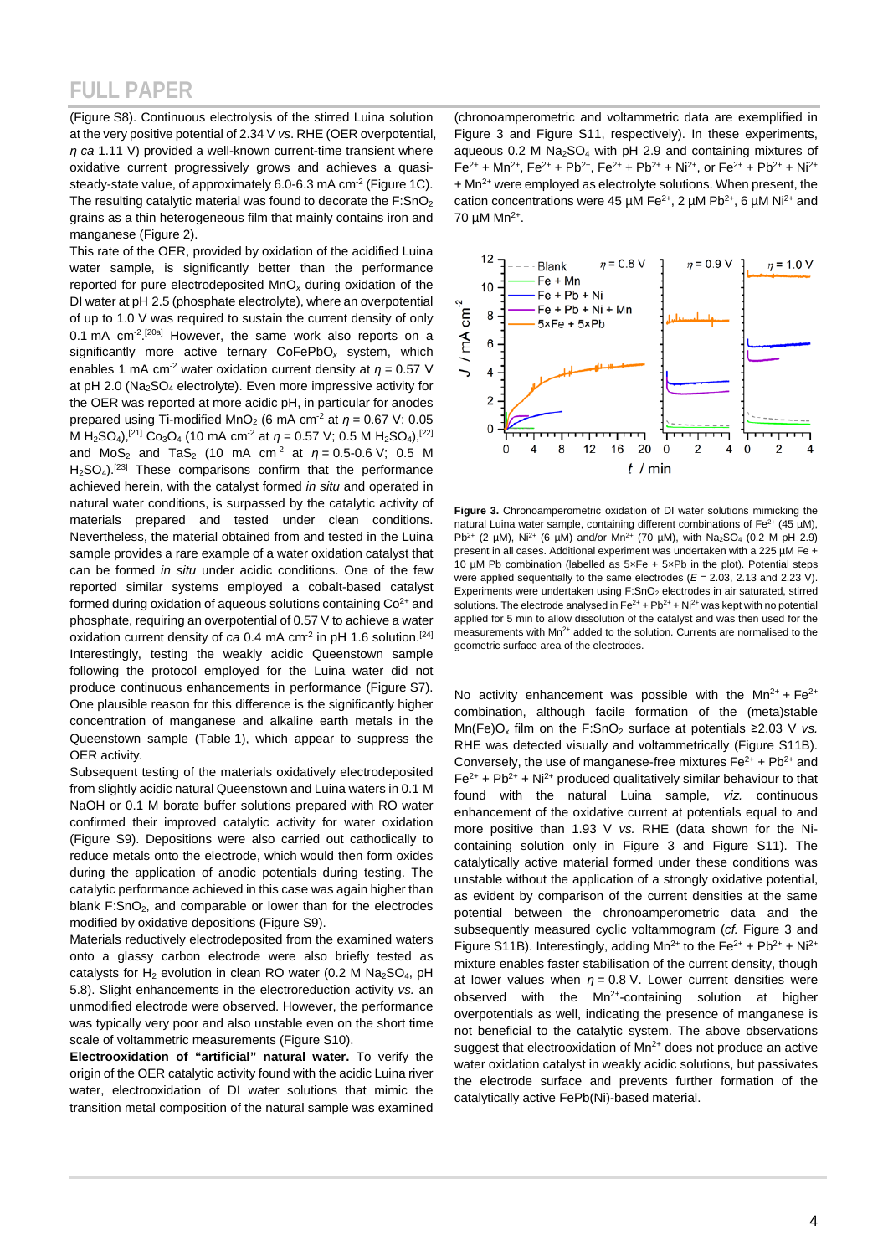(Figure S8). Continuous electrolysis of the stirred Luina solution at the very positive potential of 2.34 V *vs*. RHE (OER overpotential, *η ca* 1.11 V) provided a well-known current-time transient where oxidative current progressively grows and achieves a quasisteady-state value, of approximately 6.0-6.3 mA cm<sup>-2</sup> (Figure 1C). The resulting catalytic material was found to decorate the  $F:SnO<sub>2</sub>$ grains as a thin heterogeneous film that mainly contains iron and manganese (Figure 2).

This rate of the OER, provided by oxidation of the acidified Luina water sample, is significantly better than the performance reported for pure electrodeposited MnO*<sup>x</sup>* during oxidation of the DI water at pH 2.5 (phosphate electrolyte), where an overpotential of up to 1.0 V was required to sustain the current density of only 0.1 mA cm<sup>-2</sup>.<sup>[20a]</sup> However, the same work also reports on a significantly more active ternary CoFePbO*<sup>x</sup>* system, which enables 1 mA cm<sup>-2</sup> water oxidation current density at  $\eta$  = 0.57 V at pH 2.0 (Na<sub>2</sub>SO<sub>4</sub> electrolyte). Even more impressive activity for the OER was reported at more acidic pH, in particular for anodes prepared using Ti-modified MnO<sub>2</sub> (6 mA cm<sup>-2</sup> at  $\eta$  = 0.67 V; 0.05 M H<sub>2</sub>SO<sub>4</sub>),<sup>[21]</sup> Co<sub>3</sub>O<sub>4</sub> (10 mA cm<sup>-2</sup> at  $\eta$  = 0.57 V; 0.5 M H<sub>2</sub>SO<sub>4</sub>),<sup>[22]</sup> and MoS<sub>2</sub> and TaS<sub>2</sub> (10 mA cm<sup>-2</sup> at  $\eta = 0.5$ -0.6 V; 0.5 M  $H_2SO_4$ ).<sup>[23]</sup> These comparisons confirm that the performance achieved herein, with the catalyst formed *in situ* and operated in natural water conditions, is surpassed by the catalytic activity of materials prepared and tested under clean conditions. Nevertheless, the material obtained from and tested in the Luina sample provides a rare example of a water oxidation catalyst that can be formed *in situ* under acidic conditions. One of the few reported similar systems employed a cobalt-based catalyst formed during oxidation of aqueous solutions containing  $Co<sup>2+</sup>$  and phosphate, requiring an overpotential of 0.57 V to achieve a water oxidation current density of *ca* 0.4 mA cm<sup>-2</sup> in pH 1.6 solution.<sup>[24]</sup> Interestingly, testing the weakly acidic Queenstown sample following the protocol employed for the Luina water did not produce continuous enhancements in performance (Figure S7). One plausible reason for this difference is the significantly higher concentration of manganese and alkaline earth metals in the Queenstown sample (Table 1), which appear to suppress the OER activity*.*

Subsequent testing of the materials oxidatively electrodeposited from slightly acidic natural Queenstown and Luina waters in 0.1 M NaOH or 0.1 M borate buffer solutions prepared with RO water confirmed their improved catalytic activity for water oxidation (Figure S9). Depositions were also carried out cathodically to reduce metals onto the electrode, which would then form oxides during the application of anodic potentials during testing. The catalytic performance achieved in this case was again higher than blank F:SnO<sub>2</sub>, and comparable or lower than for the electrodes modified by oxidative depositions (Figure S9).

Materials reductively electrodeposited from the examined waters onto a glassy carbon electrode were also briefly tested as catalysts for  $H_2$  evolution in clean RO water (0.2 M Na<sub>2</sub>SO<sub>4</sub>, pH 5.8). Slight enhancements in the electroreduction activity *vs.* an unmodified electrode were observed. However, the performance was typically very poor and also unstable even on the short time scale of voltammetric measurements (Figure S10).

**Electrooxidation of "artificial" natural water.** To verify the origin of the OER catalytic activity found with the acidic Luina river water, electrooxidation of DI water solutions that mimic the transition metal composition of the natural sample was examined

(chronoamperometric and voltammetric data are exemplified in Figure 3 and Figure S11, respectively). In these experiments, aqueous  $0.2$  M Na<sub>2</sub>SO<sub>4</sub> with pH 2.9 and containing mixtures of  $Fe^{2+} + Mn^{2+}$ ,  $Fe^{2+} + Pb^{2+}$ ,  $Fe^{2+} + Pb^{2+} + Ni^{2+}$ , or  $Fe^{2+} + Pb^{2+} + Ni^{2+}$ + Mn<sup>2+</sup> were employed as electrolyte solutions. When present, the cation concentrations were 45  $\mu$ M Fe<sup>2+</sup>, 2  $\mu$ M Pb<sup>2+</sup>, 6  $\mu$ M Ni<sup>2+</sup> and 70 µM Mn2+.



**Figure 3.** Chronoamperometric oxidation of DI water solutions mimicking the natural Luina water sample, containing different combinations of  $Fe^{2+}$  (45 µM), Pb<sup>2+</sup> (2  $\mu$ M), Ni<sup>2+</sup> (6  $\mu$ M) and/or Mn<sup>2+</sup> (70  $\mu$ M), with Na<sub>2</sub>SO<sub>4</sub> (0.2 M pH 2.9) present in all cases. Additional experiment was undertaken with a 225 µM Fe + 10 µM Pb combination (labelled as 5×Fe + 5×Pb in the plot). Potential steps were applied sequentially to the same electrodes (*E* = 2.03, 2.13 and 2.23 V). Experiments were undertaken using F:SnO<sub>2</sub> electrodes in air saturated, stirred solutions. The electrode analysed in  $\text{Fe}^{2+}$  +  $\text{Pb}^{2+}$  + Ni<sup>2+</sup> was kept with no potential applied for 5 min to allow dissolution of the catalyst and was then used for the measurements with  $Mn^{2+}$  added to the solution. Currents are normalised to the geometric surface area of the electrodes.

No activity enhancement was possible with the  $Mn^{2+}$  + Fe<sup>2+</sup> combination, although facile formation of the (meta)stable  $Mn(Fe)O<sub>x</sub>$  film on the F:SnO<sub>2</sub> surface at potentials ≥2.03 V *vs.* RHE was detected visually and voltammetrically (Figure S11B). Conversely, the use of manganese-free mixtures  $Fe^{2+} + Pb^{2+}$  and  $Fe<sup>2+</sup> + Pb<sup>2+</sup> + Ni<sup>2+</sup> produced qualitatively similar behaviour to that$ found with the natural Luina sample, *viz.* continuous enhancement of the oxidative current at potentials equal to and more positive than 1.93 V *vs.* RHE (data shown for the Nicontaining solution only in Figure 3 and Figure S11). The catalytically active material formed under these conditions was unstable without the application of a strongly oxidative potential, as evident by comparison of the current densities at the same potential between the chronoamperometric data and the subsequently measured cyclic voltammogram (*cf.* Figure 3 and Figure S11B). Interestingly, adding  $Mn^{2+}$  to the Fe<sup>2+</sup> + Pb<sup>2+</sup> + Ni<sup>2+</sup> mixture enables faster stabilisation of the current density, though at lower values when *η* = 0.8 V. Lower current densities were observed with the  $Mn^{2+}$ -containing solution at higher overpotentials as well, indicating the presence of manganese is not beneficial to the catalytic system. The above observations suggest that electrooxidation of Mn<sup>2+</sup> does not produce an active water oxidation catalyst in weakly acidic solutions, but passivates the electrode surface and prevents further formation of the catalytically active FePb(Ni)-based material.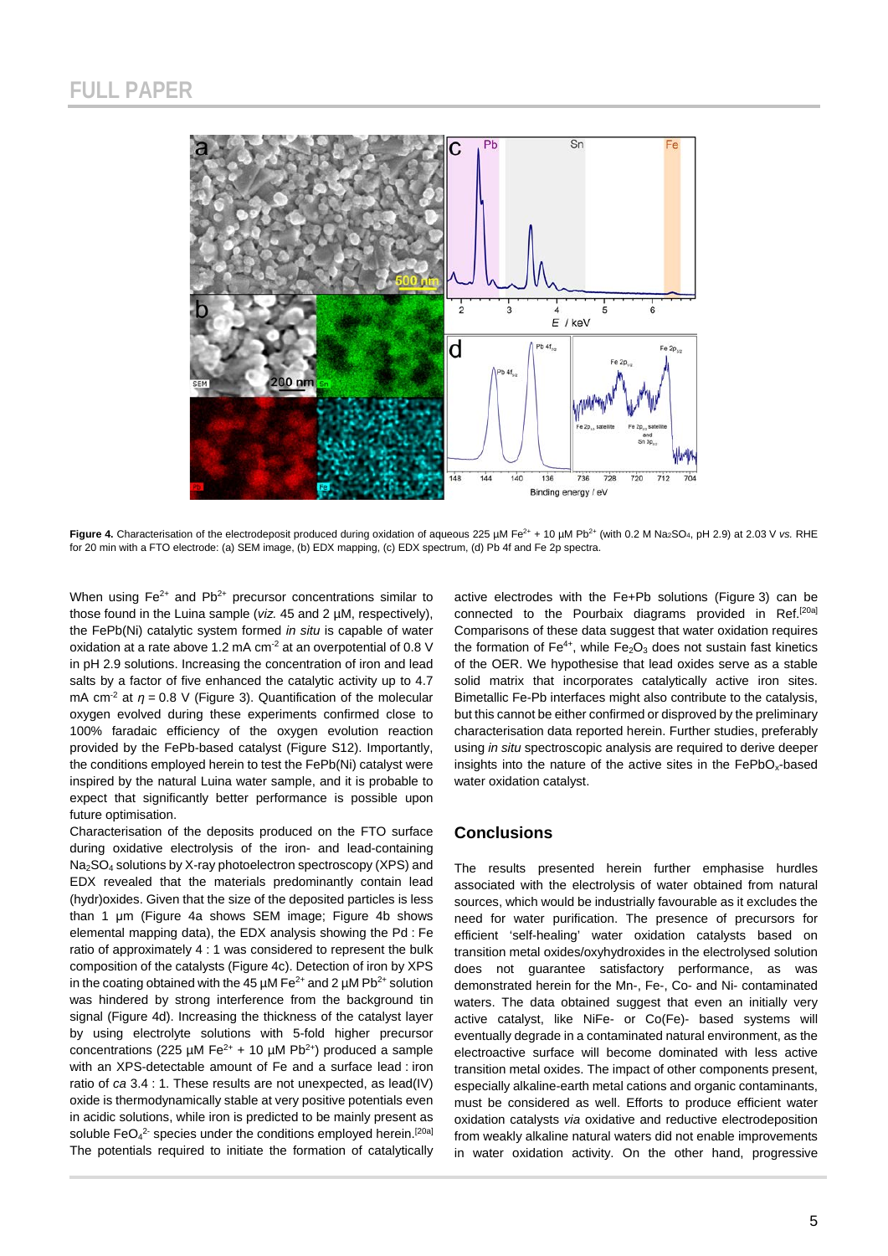

Figure 4. Characterisation of the electrodeposit produced during oxidation of aqueous 225 µM Fe<sup>2+</sup> + 10 µM Pb<sup>2+</sup> (with 0.2 M Na<sub>2</sub>SO<sub>4</sub>, pH 2.9) at 2.03 V *vs.* RHE for 20 min with a FTO electrode: (a) SEM image, (b) EDX mapping, (c) EDX spectrum, (d) Pb 4f and Fe 2p spectra.

When using  $Fe^{2+}$  and  $Pb^{2+}$  precursor concentrations similar to those found in the Luina sample (*viz.* 45 and 2 µM, respectively), the FePb(Ni) catalytic system formed *in situ* is capable of water oxidation at a rate above 1.2 mA cm<sup>-2</sup> at an overpotential of 0.8 V in pH 2.9 solutions. Increasing the concentration of iron and lead salts by a factor of five enhanced the catalytic activity up to 4.7 mA cm<sup>-2</sup> at *η* = 0.8 V (Figure 3). Quantification of the molecular oxygen evolved during these experiments confirmed close to 100% faradaic efficiency of the oxygen evolution reaction provided by the FePb-based catalyst (Figure S12). Importantly, the conditions employed herein to test the FePb(Ni) catalyst were inspired by the natural Luina water sample, and it is probable to expect that significantly better performance is possible upon future optimisation.

Characterisation of the deposits produced on the FTO surface during oxidative electrolysis of the iron- and lead-containing Na2SO4 solutions by X-ray photoelectron spectroscopy (XPS) and EDX revealed that the materials predominantly contain lead (hydr)oxides. Given that the size of the deposited particles is less than 1 μm (Figure 4a shows SEM image; Figure 4b shows elemental mapping data), the EDX analysis showing the Pd : Fe ratio of approximately 4 : 1 was considered to represent the bulk composition of the catalysts (Figure 4c). Detection of iron by XPS in the coating obtained with the 45  $\mu$ M Fe<sup>2+</sup> and 2  $\mu$ M Pb<sup>2+</sup> solution was hindered by strong interference from the background tin signal (Figure 4d). Increasing the thickness of the catalyst layer by using electrolyte solutions with 5-fold higher precursor concentrations (225  $\mu$ M Fe<sup>2+</sup> + 10  $\mu$ M Pb<sup>2+</sup>) produced a sample with an XPS-detectable amount of Fe and a surface lead : iron ratio of *ca* 3.4 : 1. These results are not unexpected, as lead(IV) oxide is thermodynamically stable at very positive potentials even in acidic solutions, while iron is predicted to be mainly present as soluble FeO<sub>4</sub><sup>2-</sup> species under the conditions employed herein.<sup>[20a]</sup> The potentials required to initiate the formation of catalytically active electrodes with the Fe+Pb solutions (Figure 3) can be connected to the Pourbaix diagrams provided in Ref.[20a] Comparisons of these data suggest that water oxidation requires the formation of  $Fe^{4+}$ , while  $Fe<sub>2</sub>O<sub>3</sub>$  does not sustain fast kinetics of the OER. We hypothesise that lead oxides serve as a stable solid matrix that incorporates catalytically active iron sites. Bimetallic Fe-Pb interfaces might also contribute to the catalysis, but this cannot be either confirmed or disproved by the preliminary characterisation data reported herein. Further studies, preferably using *in situ* spectroscopic analysis are required to derive deeper insights into the nature of the active sites in the  $FePbO<sub>x</sub>$ -based water oxidation catalyst.

#### **Conclusions**

The results presented herein further emphasise hurdles associated with the electrolysis of water obtained from natural sources, which would be industrially favourable as it excludes the need for water purification. The presence of precursors for efficient 'self-healing' water oxidation catalysts based on transition metal oxides/oxyhydroxides in the electrolysed solution does not guarantee satisfactory performance, as was demonstrated herein for the Mn-, Fe-, Co- and Ni- contaminated waters. The data obtained suggest that even an initially very active catalyst, like NiFe- or Co(Fe)- based systems will eventually degrade in a contaminated natural environment, as the electroactive surface will become dominated with less active transition metal oxides. The impact of other components present, especially alkaline-earth metal cations and organic contaminants, must be considered as well. Efforts to produce efficient water oxidation catalysts *via* oxidative and reductive electrodeposition from weakly alkaline natural waters did not enable improvements in water oxidation activity. On the other hand, progressive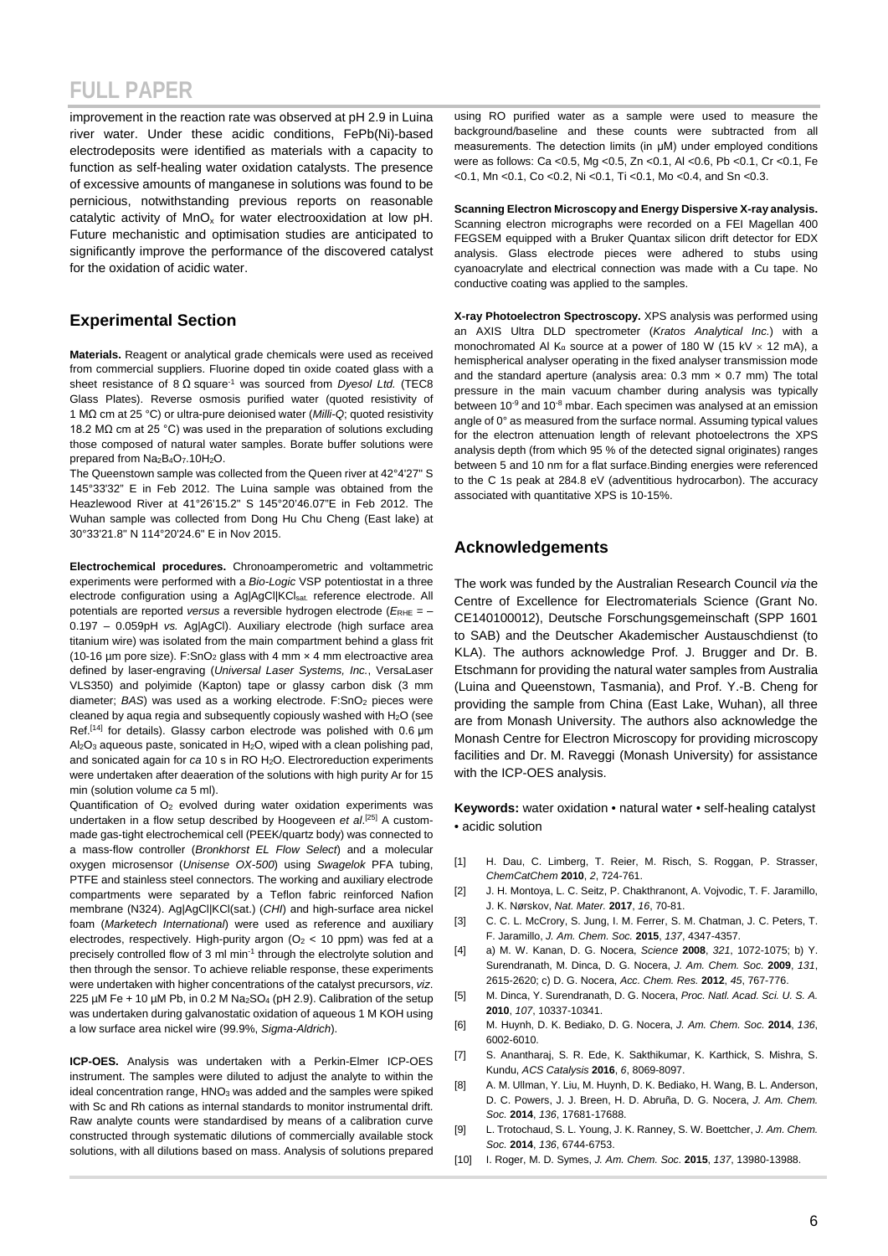improvement in the reaction rate was observed at pH 2.9 in Luina river water. Under these acidic conditions, FePb(Ni)-based electrodeposits were identified as materials with a capacity to function as self-healing water oxidation catalysts. The presence of excessive amounts of manganese in solutions was found to be pernicious, notwithstanding previous reports on reasonable catalytic activity of MnO<sub>x</sub> for water electrooxidation at low pH. Future mechanistic and optimisation studies are anticipated to significantly improve the performance of the discovered catalyst for the oxidation of acidic water.

#### **Experimental Section**

**Materials.** Reagent or analytical grade chemicals were used as received from commercial suppliers. Fluorine doped tin oxide coated glass with a sheet resistance of 8 Ω square-1 was sourced from *Dyesol Ltd.* (TEC8 Glass Plates). Reverse osmosis purified water (quoted resistivity of 1 MΩ cm at 25 °C) or ultra-pure deionised water (*Milli-Q*; quoted resistivity 18.2 MΩ cm at 25 °C) was used in the preparation of solutions excluding those composed of natural water samples. Borate buffer solutions were prepared from Na<sub>2</sub>B<sub>4</sub>O<sub>7</sub>.10H<sub>2</sub>O.

The Queenstown sample was collected from the Queen river at 42°4'27" S 145°33'32" E in Feb 2012. The Luina sample was obtained from the Heazlewood River at 41°26'15.2" S 145°20'46.07"E in Feb 2012. The Wuhan sample was collected from Dong Hu Chu Cheng (East lake) at 30°33'21.8" N 114°20'24.6" E in Nov 2015.

**Electrochemical procedures.** Chronoamperometric and voltammetric experiments were performed with a *Bio-Logic* VSP potentiostat in a three electrode configuration using a Ag|AgCl|KClsat. reference electrode. All potentials are reported *versus* a reversible hydrogen electrode ( $E_{RHE}$  = -0.197 – 0.059pH *vs.* Ag|AgCl). Auxiliary electrode (high surface area titanium wire) was isolated from the main compartment behind a glass frit (10-16 µm pore size). F:SnO<sub>2</sub> glass with 4 mm  $\times$  4 mm electroactive area defined by laser-engraving (*Universal Laser Systems, Inc.*, VersaLaser VLS350) and polyimide (Kapton) tape or glassy carbon disk (3 mm diameter; *BAS*) was used as a working electrode. F:SnO<sub>2</sub> pieces were cleaned by aqua regia and subsequently copiously washed with H<sub>2</sub>O (see Ref.[14] for details). Glassy carbon electrode was polished with 0.6 μm  $Al_2O_3$  aqueous paste, sonicated in H<sub>2</sub>O, wiped with a clean polishing pad, and sonicated again for *ca* 10 s in RO H2O. Electroreduction experiments were undertaken after deaeration of the solutions with high purity Ar for 15 min (solution volume *ca* 5 ml).

Quantification of  $O<sub>2</sub>$  evolved during water oxidation experiments was undertaken in a flow setup described by Hoogeveen *et al*. [25] A custommade gas-tight electrochemical cell (PEEK/quartz body) was connected to a mass-flow controller (*Bronkhorst EL Flow Select*) and a molecular oxygen microsensor (*Unisense OX-500*) using *Swagelok* PFA tubing, PTFE and stainless steel connectors. The working and auxiliary electrode compartments were separated by a Teflon fabric reinforced Nafion membrane (N324). Ag|AgCl|KCl(sat.) (*CHI*) and high-surface area nickel foam (*Marketech International*) were used as reference and auxiliary electrodes, respectively. High-purity argon ( $O<sub>2</sub> < 10$  ppm) was fed at a precisely controlled flow of 3 ml min-1 through the electrolyte solution and then through the sensor. To achieve reliable response, these experiments were undertaken with higher concentrations of the catalyst precursors, *viz*. 225  $\mu$ M Fe + 10  $\mu$ M Pb, in 0.2 M Na<sub>2</sub>SO<sub>4</sub> (pH 2.9). Calibration of the setup was undertaken during galvanostatic oxidation of aqueous 1 M KOH using a low surface area nickel wire (99.9%, *Sigma-Aldrich*).

**ICP-OES.** Analysis was undertaken with a Perkin-Elmer ICP-OES instrument. The samples were diluted to adjust the analyte to within the ideal concentration range, HNO<sub>3</sub> was added and the samples were spiked with Sc and Rh cations as internal standards to monitor instrumental drift. Raw analyte counts were standardised by means of a calibration curve constructed through systematic dilutions of commercially available stock solutions, with all dilutions based on mass. Analysis of solutions prepared

using RO purified water as a sample were used to measure the background/baseline and these counts were subtracted from all measurements. The detection limits (in μM) under employed conditions were as follows: Ca <0.5, Mg <0.5, Zn <0.1, Al <0.6, Pb <0.1, Cr <0.1, Fe <0.1, Mn <0.1, Co <0.2, Ni <0.1, Ti <0.1, Mo <0.4, and Sn <0.3.

**Scanning Electron Microscopy and Energy Dispersive X-ray analysis.** Scanning electron micrographs were recorded on a FEI Magellan 400 FEGSEM equipped with a Bruker Quantax silicon drift detector for EDX analysis. Glass electrode pieces were adhered to stubs using cyanoacrylate and electrical connection was made with a Cu tape. No conductive coating was applied to the samples.

**X-ray Photoelectron Spectroscopy.** XPS analysis was performed using an AXIS Ultra DLD spectrometer (*Kratos Analytical Inc.*) with a monochromated Al K<sub>α</sub> source at a power of 180 W (15 kV  $\times$  12 mA), a hemispherical analyser operating in the fixed analyser transmission mode and the standard aperture (analysis area:  $0.3$  mm  $\times$   $0.7$  mm) The total pressure in the main vacuum chamber during analysis was typically between 10<sup>-9</sup> and 10<sup>-8</sup> mbar. Each specimen was analysed at an emission angle of 0° as measured from the surface normal. Assuming typical values for the electron attenuation length of relevant photoelectrons the XPS analysis depth (from which 95 % of the detected signal originates) ranges between 5 and 10 nm for a flat surface.Binding energies were referenced to the C 1s peak at 284.8 eV (adventitious hydrocarbon). The accuracy associated with quantitative XPS is 10-15%.

#### **Acknowledgements**

The work was funded by the Australian Research Council *via* the Centre of Excellence for Electromaterials Science (Grant No. CE140100012), Deutsche Forschungsgemeinschaft (SPP 1601 to SAB) and the Deutscher Akademischer Austauschdienst (to KLA). The authors acknowledge Prof. J. Brugger and Dr. B. Etschmann for providing the natural water samples from Australia (Luina and Queenstown, Tasmania), and Prof. Y.-B. Cheng for providing the sample from China (East Lake, Wuhan), all three are from Monash University. The authors also acknowledge the Monash Centre for Electron Microscopy for providing microscopy facilities and Dr. M. Raveggi (Monash University) for assistance with the ICP-OES analysis.

**Keywords:** water oxidation • natural water • self-healing catalyst • acidic solution

- [1] H. Dau, C. Limberg, T. Reier, M. Risch, S. Roggan, P. Strasser, *ChemCatChem* **2010**, *2*, 724-761.
- [2] J. H. Montoya, L. C. Seitz, P. Chakthranont, A. Vojvodic, T. F. Jaramillo, J. K. Nørskov, *Nat. Mater.* **2017**, *16*, 70-81.
- [3] C. C. L. McCrory, S. Jung, I. M. Ferrer, S. M. Chatman, J. C. Peters, T. F. Jaramillo, *J. Am. Chem. Soc.* **2015**, *137*, 4347-4357.
- [4] a) M. W. Kanan, D. G. Nocera, *Science* **2008**, *321*, 1072-1075; b) Y. Surendranath, M. Dinca, D. G. Nocera, *J. Am. Chem. Soc.* **2009**, *131*, 2615-2620; c) D. G. Nocera, *Acc. Chem. Res.* **2012**, *45*, 767-776.
- [5] M. Dinca, Y. Surendranath, D. G. Nocera, *Proc. Natl. Acad. Sci. U. S. A.*  **2010**, *107*, 10337-10341.
- [6] M. Huynh, D. K. Bediako, D. G. Nocera, *J. Am. Chem. Soc.* **2014**, *136*, 6002-6010.
- [7] S. Anantharaj, S. R. Ede, K. Sakthikumar, K. Karthick, S. Mishra, S. Kundu, *ACS Catalysis* **2016**, *6*, 8069-8097.
- [8] A. M. Ullman, Y. Liu, M. Huynh, D. K. Bediako, H. Wang, B. L. Anderson, D. C. Powers, J. J. Breen, H. D. Abruña, D. G. Nocera, *J. Am. Chem. Soc.* **2014**, *136*, 17681-17688.
- [9] L. Trotochaud, S. L. Young, J. K. Ranney, S. W. Boettcher, *J. Am. Chem. Soc.* **2014**, *136*, 6744-6753.
- [10] I. Roger, M. D. Symes, *J. Am. Chem. Soc.* **2015**, *137*, 13980-13988.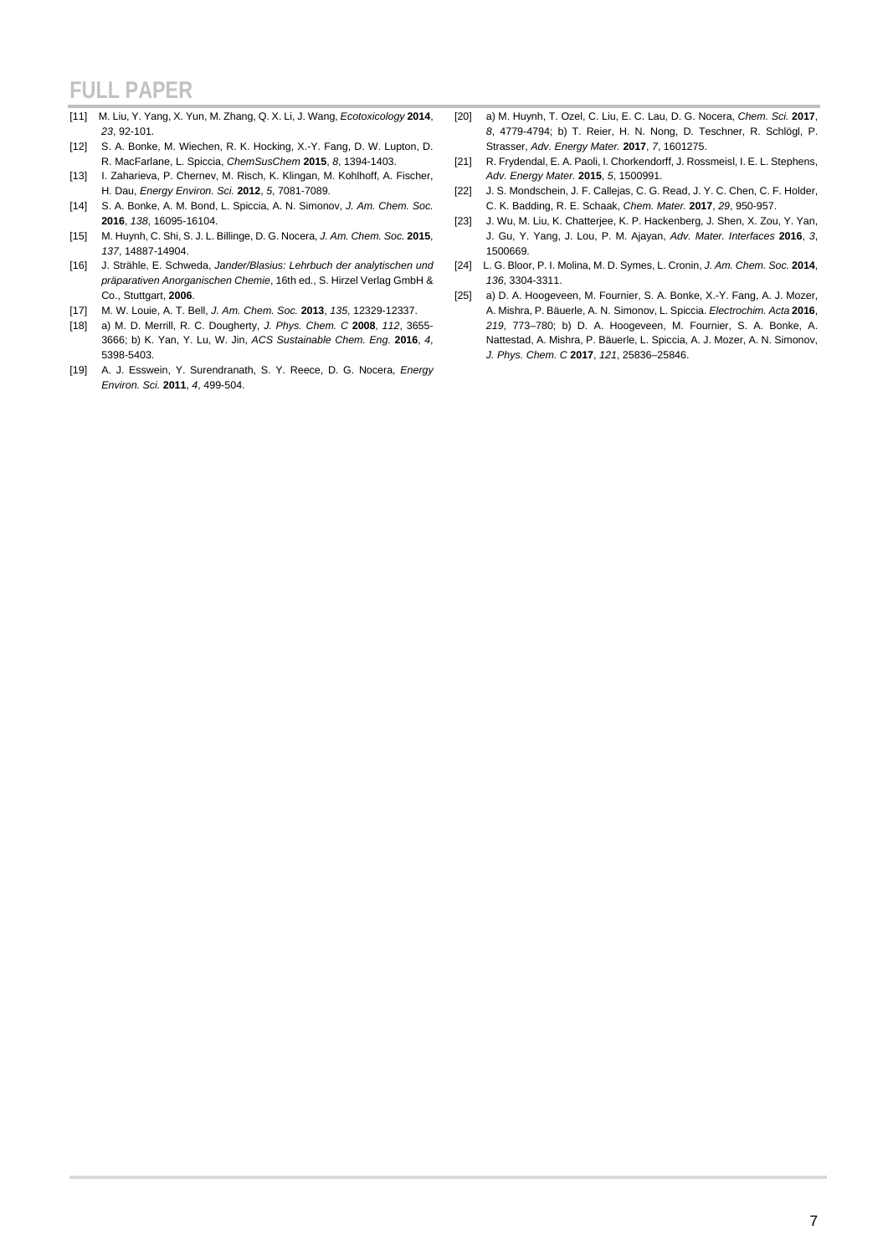- [11] M. Liu, Y. Yang, X. Yun, M. Zhang, Q. X. Li, J. Wang, *Ecotoxicology* **2014**, *23*, 92-101.
- [12] S. A. Bonke, M. Wiechen, R. K. Hocking, X.-Y. Fang, D. W. Lupton, D. R. MacFarlane, L. Spiccia, *ChemSusChem* **2015**, *8*, 1394-1403.
- [13] I. Zaharieva, P. Chernev, M. Risch, K. Klingan, M. Kohlhoff, A. Fischer, H. Dau, *Energy Environ. Sci.* **2012**, *5*, 7081-7089.
- [14] S. A. Bonke, A. M. Bond, L. Spiccia, A. N. Simonov, *J. Am. Chem. Soc.*  **2016**, *138*, 16095-16104.
- [15] M. Huynh, C. Shi, S. J. L. Billinge, D. G. Nocera, *J. Am. Chem. Soc.* **2015**, *137*, 14887-14904.
- [16] J. Strähle, E. Schweda, *Jander/Blasius: Lehrbuch der analytischen und präparativen Anorganischen Chemie*, 16th ed., S. Hirzel Verlag GmbH & Co., Stuttgart, **2006**.
- [17] M. W. Louie, A. T. Bell, *J. Am. Chem. Soc.* **2013**, *135*, 12329-12337.
- [18] a) M. D. Merrill, R. C. Dougherty, *J. Phys. Chem. C* **2008**, *112*, 3655- 3666; b) K. Yan, Y. Lu, W. Jin, *ACS Sustainable Chem. Eng.* **2016**, *4*, 5398-5403.
- [19] A. J. Esswein, Y. Surendranath, S. Y. Reece, D. G. Nocera, *Energy Environ. Sci.* **2011**, *4*, 499-504.
- [20] a) M. Huynh, T. Ozel, C. Liu, E. C. Lau, D. G. Nocera, *Chem. Sci.* **2017**, *8*, 4779-4794; b) T. Reier, H. N. Nong, D. Teschner, R. Schlögl, P. Strasser, *Adv. Energy Mater.* **2017**, *7*, 1601275.
- [21] R. Frydendal, E. A. Paoli, I. Chorkendorff, J. Rossmeisl, I. E. L. Stephens, *Adv. Energy Mater.* **2015**, *5*, 1500991.
- [22] J. S. Mondschein, J. F. Callejas, C. G. Read, J. Y. C. Chen, C. F. Holder, C. K. Badding, R. E. Schaak, *Chem. Mater.* **2017**, *29*, 950-957.
- [23] J. Wu, M. Liu, K. Chatterjee, K. P. Hackenberg, J. Shen, X. Zou, Y. Yan, J. Gu, Y. Yang, J. Lou, P. M. Ajayan, *Adv. Mater. Interfaces* **2016**, *3*, 1500669.
- [24] L. G. Bloor, P. I. Molina, M. D. Symes, L. Cronin, *J. Am. Chem. Soc.* **2014**, *136*, 3304-3311.
- [25] a) D. A. Hoogeveen, M. Fournier, S. A. Bonke, X.-Y. Fang, A. J. Mozer, A. Mishra, P. Bäuerle, A. N. Simonov, L. Spiccia. *Electrochim. Acta* **2016**, *219*, 773–780; b) D. A. Hoogeveen, M. Fournier, S. A. Bonke, A. Nattestad, A. Mishra, P. Bäuerle, L. Spiccia, A. J. Mozer, A. N. Simonov, *J. Phys. Chem. C* **2017**, *121*, 25836–25846.